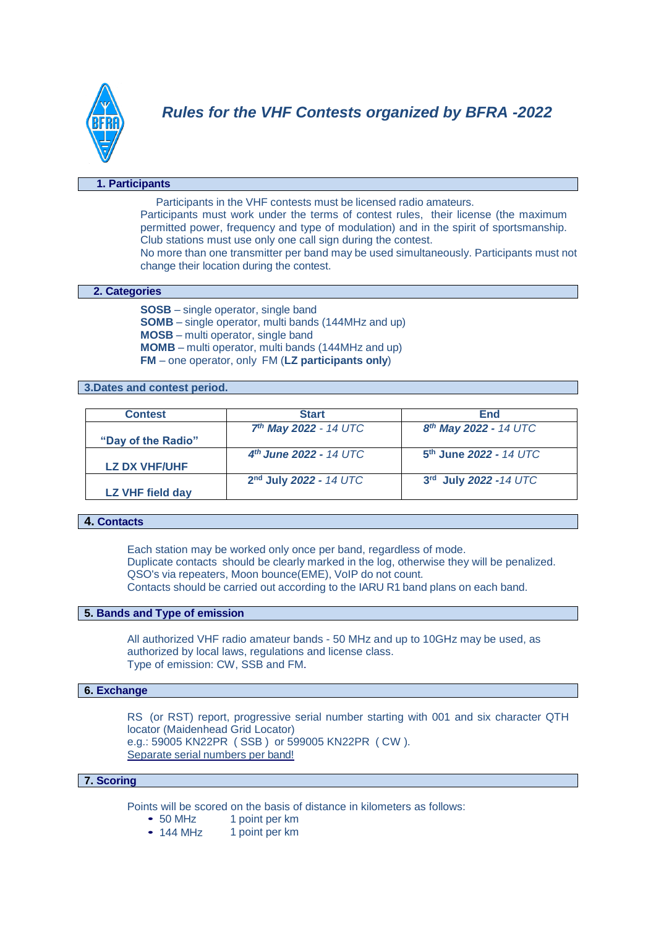

### **1. Participants**

Participants in the VHF contests must be licensed radio amateurs.

Participants must work under the terms of contest rules, their license (the maximum permitted power, frequency and type of modulation) and in the spirit of sportsmanship. Club stations must use only one call sign during the contest.

No more than one transmitter per band may be used simultaneously. Participants must not change their location during the contest.

### **2. Categories**

**SOSB** – single operator, single band **SOMB** – single operator, multi bands (144MHz and up) **MOSB** – multi operator, single band **MOMB** – multi operator, multi bands (144MHz and up) **FM** – one operator, only FM (**LZ participants only**)

**3.Dates and contest period.**

| <b>Contest</b>       | <b>Start</b>                       | End                               |
|----------------------|------------------------------------|-----------------------------------|
|                      | $7th$ May 2022 - 14 UTC            | 8 <sup>th</sup> May 2022 - 14 UTC |
| "Day of the Radio"   |                                    |                                   |
|                      | $4^{th}$ June 2022 - 14 UTC        | $5th$ June 2022 - 14 UTC          |
| <b>LZ DX VHF/UHF</b> |                                    |                                   |
|                      | 2 <sup>nd</sup> July 2022 - 14 UTC | 3rd July 2022 -14 UTC             |
| LZ VHF field day     |                                    |                                   |
|                      |                                    |                                   |

# **4. Contacts**

Each station may be worked only once per band, regardless of mode. Duplicate contacts should be clearly marked in the log, otherwise they will be penalized. QSO's via repeaters, Moon bounce(EME), VoIP do not count. Contacts should be carried out according to the IARU R1 band plans on each band.

## **5. Bands and Type of emission**

All authorized VHF radio amateur bands - 50 MHz and up to 10GHz may be used, as authorized by local laws, regulations and license class. Type of emission: CW, SSB and FM.

### **6. Exchange**

RS (or RST) report, progressive serial number starting with 001 and six character QTH locator (Maidenhead Grid Locator) e.g.: 59005 KN22PR ( SSB ) or 599005 KN22PR ( CW ). Separate serial numbers per band!

### **7. Scoring**

Points will be scored on the basis of distance in kilometers as follows:

- 50 MHz 1 point per km
- 144 MHz 1 point per km